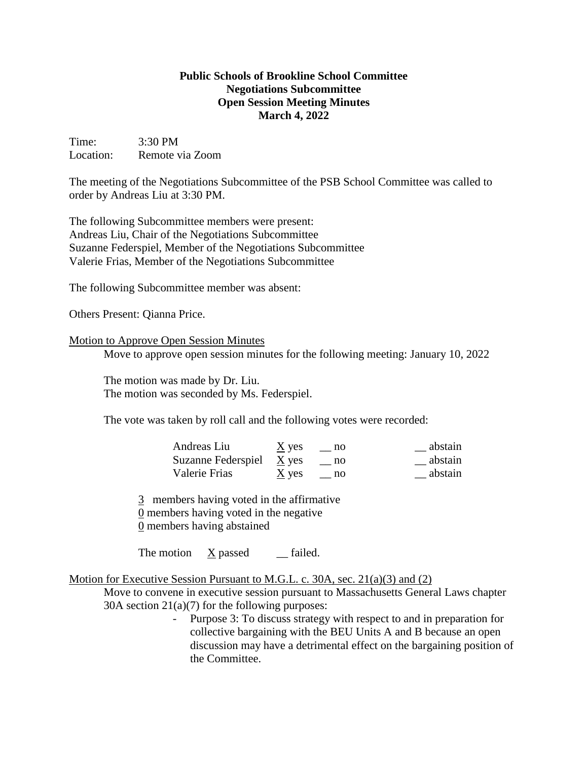## **Public Schools of Brookline School Committee Negotiations Subcommittee Open Session Meeting Minutes March 4, 2022**

Time: 3:30 PM Location: Remote via Zoom

The meeting of the Negotiations Subcommittee of the PSB School Committee was called to order by Andreas Liu at 3:30 PM.

The following Subcommittee members were present: Andreas Liu, Chair of the Negotiations Subcommittee Suzanne Federspiel, Member of the Negotiations Subcommittee Valerie Frias, Member of the Negotiations Subcommittee

The following Subcommittee member was absent:

Others Present: Qianna Price.

## Motion to Approve Open Session Minutes

Move to approve open session minutes for the following meeting: January 10, 2022

The motion was made by Dr. Liu. The motion was seconded by Ms. Federspiel.

The vote was taken by roll call and the following votes were recorded:

| Andreas Liu                | $\underline{X}$ yes | no    | abstain |
|----------------------------|---------------------|-------|---------|
| Suzanne Federspiel $X$ yes |                     | no no | abstain |
| Valerie Frias              | $\underline{X}$ yes | no    | abstain |

3 members having voted in the affirmative 0 members having voted in the negative

0 members having abstained

The motion  $\bar{X}$  passed \_\_ failed.

Motion for Executive Session Pursuant to M.G.L. c. 30A, sec. 21(a)(3) and (2)

Move to convene in executive session pursuant to Massachusetts General Laws chapter 30A section 21(a)(7) for the following purposes:

> - Purpose 3: To discuss strategy with respect to and in preparation for collective bargaining with the BEU Units A and B because an open discussion may have a detrimental effect on the bargaining position of the Committee.